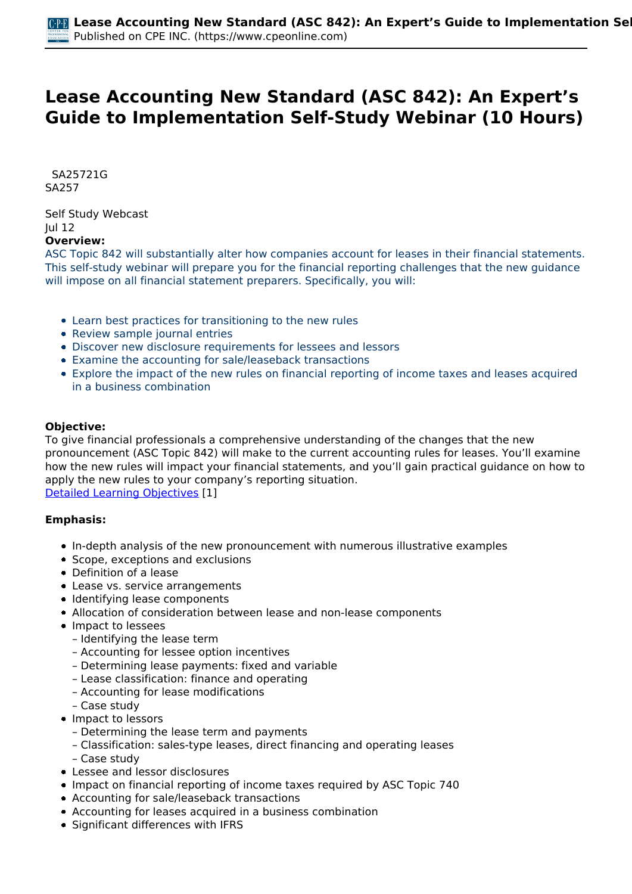# **Lease Accounting New Standard (ASC 842): An Expert's Guide to Implementation Self-Study Webinar (10 Hours)**

 *SA25721G SA257* 

*Self Study Webcast Jul 12*  **Overview:** 

*ASC Topic 842 will substantially alter how companies account for leases in their financial statements. This self-study webinar will prepare you for the financial reporting challenges that the new guidance will impose on all financial statement preparers. Specifically, you will:*

- *Learn best practices for transitioning to the new rules*
- *Review sample journal entries*
- *Discover new disclosure requirements for lessees and lessors*
- *Examine the accounting for sale/leaseback transactions*
- *Explore the impact of the new rules on financial reporting of income taxes and leases acquired in a business combination*

## **Objective:**

*To give financial professionals a comprehensive understanding of the changes that the new pronouncement (ASC Topic 842) will make to the current accounting rules for leases. You'll examine how the new rules will impact your financial statements, and you'll gain practical guidance on how to apply the new rules to your company's reporting situation.*

*[Detailed Learning Objectives](https://www.cpeonline.com/JavaScript:showObjectivesPopup();) [1]*

#### **Emphasis:**

- *In-depth analysis of the new pronouncement with numerous illustrative examples*
- *Scope, exceptions and exclusions*
- *Definition of a lease*
- *Lease vs. service arrangements*
- *Identifying lease components*
- *Allocation of consideration between lease and non-lease components*
- *Impact to lessees*
	- *Identifying the lease term*
	- *Accounting for lessee option incentives*
	- *Determining lease payments: fixed and variable*
	- *Lease classification: finance and operating*
	- *Accounting for lease modifications*
	- *Case study*
- *Impact to lessors*
	- *Determining the lease term and payments*
	- *Classification: sales-type leases, direct financing and operating leases*
	- *Case study*
- *Lessee and lessor disclosures*
- *Impact on financial reporting of income taxes required by ASC Topic 740*
- *Accounting for sale/leaseback transactions*
- *Accounting for leases acquired in a business combination*
- *Significant differences with IFRS*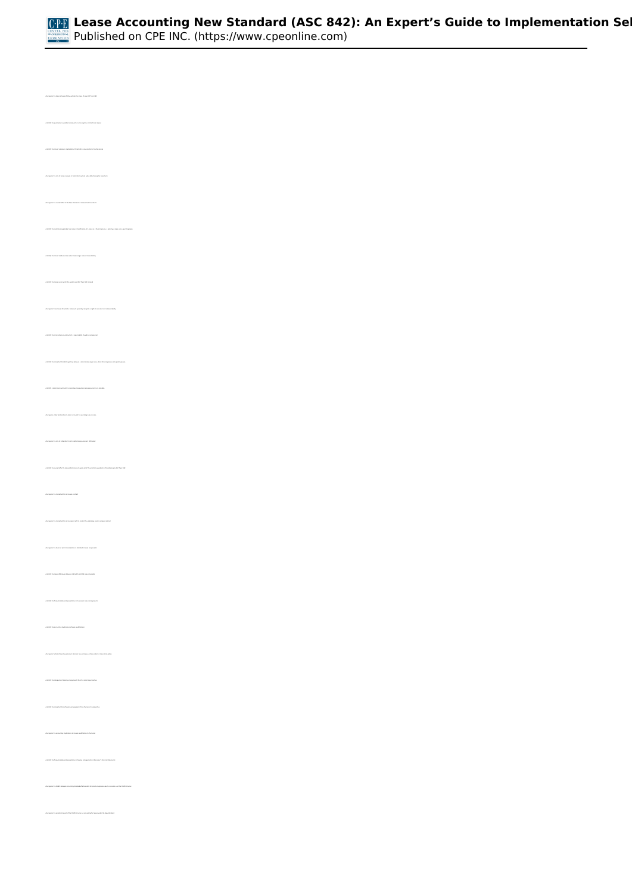

*• Recognize the types of leases falling outside the scope of new ASC Topic 842 • Identify the role of a lessee's capitalization threshold in nonrecogition of certain leases • Recognize the role of lessee renewal or termination options when determining the lease term • Recognize the overall effect of the New Standard on lessees' balance sheets • Identify the role of residual values when measuring a lessee's lease liability • Identify the model under which the guidance of ASC Topic 842 is based • Recognize those leases for which a lessee will generally recognize a right-of-use asset and a lease liability • Identify the circumstances under which a lease liability should be remeasured • Identify the characteristics distinguishing between a lessor's sales-type lease, direct-financing lease and operating lease • Identify a lessor's accounting for a sales-type lease where lessee payments are probable • Recognize under what method a lessor accounts for operating lease income • Identify the overall effect to lessees that choose to apply all of the practical expedients of transitioning to ASC Topic 842 • Recognize the characteristics of a lease contract • Recognize the characteristics of a lessee's right to control the underlying asset in a lease contract • Recognize the basis on which consideration is allocated to lease components • Identify the major differences between US GAAP and IFRS lease standards • Identify the financial statement presentation of a lessee's lease arrangements • Identify the accounting implications of lease modifications • Recognize factors influencing a lessee's decision to exercise a purchase option or lease term option • Identify the categories of leasing arrangements from the lessor's perspective • Identify the characteristics of leasing arrangements from the lessor's perspective • Recognize the accounting implications of a lease modification to the lessor • Recognize the FASB's delayed accounting standard effective date for private companies due to concerns over the COVID-19 virus*